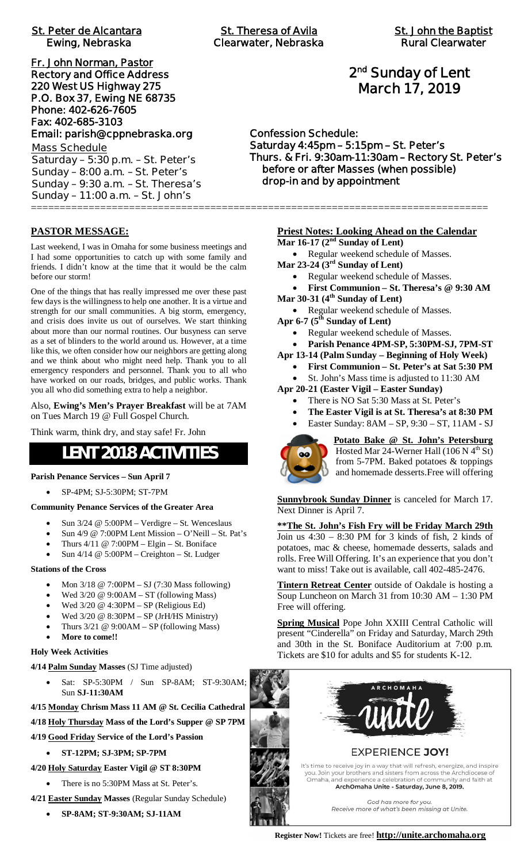| <b>St. Peter de Alcantara</b><br>Ewing, Nebraska |  |
|--------------------------------------------------|--|
| Fr. John Norman, Pastor                          |  |
| <b>Rectory and Office Address</b>                |  |
| 220 West US Highway 275                          |  |
| P.O. Box 37, Ewing NE 68735                      |  |
| Phone: 402-626-7605                              |  |
| Fax: 402-685-3103                                |  |
| Email: parish@cppnebraska.org                    |  |
| <b>Mass Schedule</b>                             |  |
| Saturday - 5:30 p.m. - St. Peter's               |  |
| Sunday - 8:00 a.m. - St. Peter's                 |  |
| Sunday - 9:30 a.m. - St. Theresa's               |  |
| Sunday - 11:00 a.m. - St. John's                 |  |

# **2 nd Sunday of Lent March 17, 2019**

#### **Confession Schedule: Saturday 4:45pm – 5:15pm – St. Peter's Thurs. & Fri. 9:30am-11:30am – Rectory St. Peter's before or after Masses (when possible) drop-in and by appointment**

#### **PASTOR MESSAGE:**

Last weekend, I was in Omaha for some business meetings and I had some opportunities to catch up with some family and friends. I didn't know at the time that it would be the calm before our storm!

One of the things that has really impressed me over these past few days is the willingness to help one another. It is a virtue and strength for our small communities. A big storm, emergency, and crisis does invite us out of ourselves. We start thinking about more than our normal routines. Our busyness can serve as a set of blinders to the world around us. However, at a time like this, we often consider how our neighbors are getting along and we think about who might need help. Thank you to all emergency responders and personnel. Thank you to all who have worked on our roads, bridges, and public works. Thank you all who did something extra to help a neighbor.

Also, **Ewing's Men's Prayer Breakfast** will be at 7AM on Tues March 19 @ Full Gospel Church.

Think warm, think dry, and stay safe! Fr. John

# **LENT 2018 ACTIVITIES**

#### **Parish Penance Services – Sun April 7**

· SP-4PM; SJ-5:30PM; ST-7PM

#### **Community Penance Services of the Greater Area**

- Sun 3/24 @ 5:00PM Verdigre St. Wenceslaus
- Sun  $4/9$  @ 7:00PM Lent Mission O'Neill St. Pat's
- Thurs  $4/11 \otimes 7:00PM Elgin St. Boniface$
- Sun  $4/14 \ @$  5:00PM Creighton St. Ludger

#### **Stations of the Cross**

- · Mon 3/18 @ 7:00PM SJ (7:30 Mass following)
- Wed  $3/20 \ @ 9:00AM ST$  (following Mass)
- · Wed 3/20 @ 4:30PM SP (Religious Ed)
- Wed  $3/20 \ @$   $8:30PM SP$  (JrH/HS Ministry)
- Thurs  $3/21 \ @ 9:00AM SP$  (following Mass)
- More to come!!

#### **Holy Week Activities**

**4/14 Palm Sunday Masses** (SJ Time adjusted)

- Sat: SP-5:30PM / Sun SP-8AM; ST-9:30AM; Sun **SJ-11:30AM**
- **4/15 Monday Chrism Mass 11 AM @ St. Cecilia Cathedral**

**4/18 Holy Thursday Mass of the Lord's Supper @ SP 7PM**

- **4/19 Good Friday Service of the Lord's Passion**
	- · **ST-12PM; SJ-3PM; SP-7PM**
- **4/20 Holy Saturday Easter Vigil @ ST 8:30PM**
	- There is no 5:30PM Mass at St. Peter's.
- **4/21 Easter Sunday Masses** (Regular Sunday Schedule)
	- · **SP-8AM; ST-9:30AM; SJ-11AM**

#### **Priest Notes: Looking Ahead on the Calendar**

**Mar 16-17 (2nd Sunday of Lent)**

===============================================================================

- · Regular weekend schedule of Masses.
- **Mar 23-24 (3rd Sunday of Lent)**
	- · Regular weekend schedule of Masses.
	- · **First Communion St. Theresa's @ 9:30 AM**
- **Mar 30-31 (4th Sunday of Lent)**
	- · Regular weekend schedule of Masses.
- **Apr 6-7 (5th Sunday of Lent)**
	- Regular weekend schedule of Masses.
	- · **Parish Penance 4PM-SP, 5:30PM-SJ, 7PM-ST**
- **Apr 13-14 (Palm Sunday Beginning of Holy Week)**
	- · **First Communion St. Peter's at Sat 5:30 PM** St. John's Mass time is adjusted to 11:30 AM
- **Apr 20-21 (Easter Vigil Easter Sunday)**
	- There is NO Sat 5:30 Mass at St. Peter's
	- The Easter Vigil is at St. Theresa's at 8:30 PM
	- · Easter Sunday: 8AM SP, 9:30 ST, 11AM SJ



**Potato Bake @ St. John's Petersburg** Hosted Mar 24-Werner Hall (106 N  $4<sup>th</sup>$  St) from 5-7PM. Baked potatoes & toppings and homemade desserts.Free will offering

**Sunnybrook Sunday Dinner** is canceled for March 17. Next Dinner is April 7.

**\*\*The St. John's Fish Fry will be Friday March 29th** Join us  $4:30 - 8:30$  PM for 3 kinds of fish, 2 kinds of potatoes, mac & cheese, homemade desserts, salads and rolls. Free Will Offering. It's an experience that you don't want to miss! Take out is available, call 402-485-2476.

**Tintern Retreat Center** outside of Oakdale is hosting a Soup Luncheon on March 31 from 10:30 AM – 1:30 PM Free will offering.

**Spring Musical** Pope John XXIII Central Catholic will present "Cinderella" on Friday and Saturday, March 29th and 30th in the St. Boniface Auditorium at 7:00 p.m. Tickets are \$10 for adults and \$5 for students K-12.